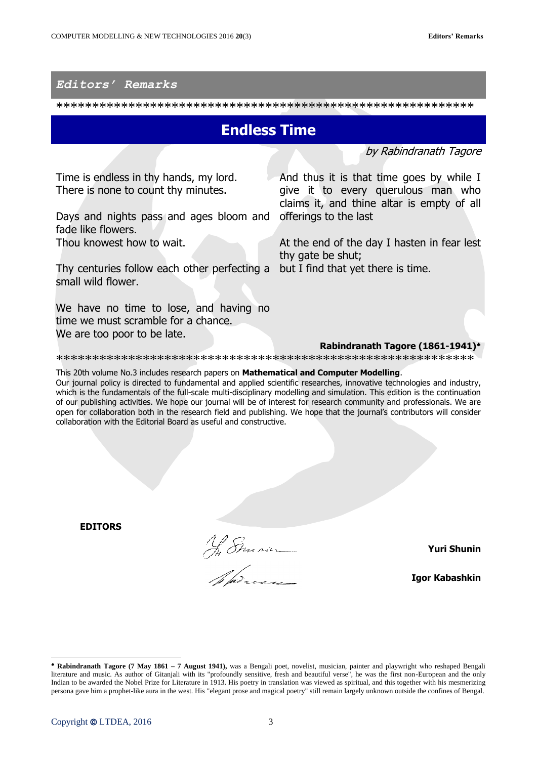## *Editors' Remarks*

\*\*\*\*\*\*\*\*\*\*\*\*\*\*\*\*\*\*\*\*\*\*\*\*\*\*\*\*\*\*\*\*\*\*\*\*\*\*\*\*\*\*\*\*\*\*\*\*\*\*\*\*\*\*\*\*\*\*

## **Endless Time**

by Rabindranath Tagore

Time is endless in thy hands, my lord. There is none to count thy minutes.

Days and nights pass and ages bloom and offerings to the last fade like flowers.

Thou knowest how to wait.

Thy centuries follow each other perfecting a but I find that yet there is time. small wild flower.

We have no time to lose, and having no time we must scramble for a chance. We are too poor to be late.

And thus it is that time goes by while I give it to every querulous man who claims it, and thine altar is empty of all

At the end of the day I hasten in fear lest thy gate be shut;

## **Rabindranath Tagore (1861-1941)**

\*\*\*\*\*\*\*\*\*\*\*\*\*\*\*\*\*\*\*\*\*\*\*\*\*\*\*\*\*\*\*\*\*\*\*\*\*\*\*\*\*\*\*\*\*\*\*\*\*\*\*\*\*\*\*\*\*\*

This 20th volume No.3 includes research papers on **Mathematical and Computer Modelling**.

Our journal policy is directed to fundamental and applied scientific researches, innovative technologies and industry, which is the fundamentals of the full-scale multi-disciplinary modelling and simulation. This edition is the continuation of our publishing activities. We hope our journal will be of interest for research community and professionals. We are open for collaboration both in the research field and publishing. We hope that the journal's contributors will consider collaboration with the Editorial Board as useful and constructive.

**EDITORS**

Ny Emmanuel

**Yuri Shunin**

**Igor Kabashkin**

 $\overline{\phantom{a}}$ 

**Rabindranath Tagore (7 May 1861 – 7 August 1941),** was a Bengali poet, novelist, musician, painter and playwright who reshaped Bengali literature and music. As author of Gitanjali with its "profoundly sensitive, fresh and beautiful verse", he was the first non-European and the only Indian to be awarded the Nobel Prize for Literature in 1913. His poetry in translation was viewed as spiritual, and this together with his mesmerizing persona gave him a prophet-like aura in the west. His "elegant prose and magical poetry" still remain largely unknown outside the confines of Bengal.